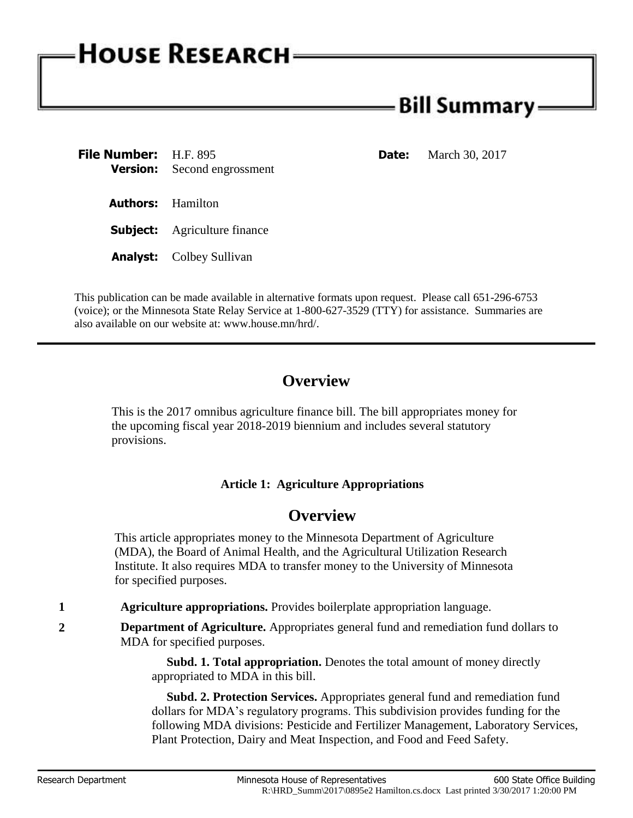# **HOUSE RESEARCH**

## Bill Summary -

| <b>File Number:</b> H.F. 895 | <b>Version:</b> Second engrossment  | Date: | March 30, 2017 |
|------------------------------|-------------------------------------|-------|----------------|
| <b>Authors:</b> Hamilton     |                                     |       |                |
|                              | <b>Subject:</b> Agriculture finance |       |                |
|                              |                                     |       |                |

**Analyst:** Colbey Sullivan

This publication can be made available in alternative formats upon request. Please call 651-296-6753 (voice); or the Minnesota State Relay Service at 1-800-627-3529 (TTY) for assistance. Summaries are also available on our website at: www.house.mn/hrd/.

## **Overview**

This is the 2017 omnibus agriculture finance bill. The bill appropriates money for the upcoming fiscal year 2018-2019 biennium and includes several statutory provisions.

### **Article 1: Agriculture Appropriations**

## **Overview**

This article appropriates money to the Minnesota Department of Agriculture (MDA), the Board of Animal Health, and the Agricultural Utilization Research Institute. It also requires MDA to transfer money to the University of Minnesota for specified purposes.

**1 Agriculture appropriations.** Provides boilerplate appropriation language.

**2 Department of Agriculture.** Appropriates general fund and remediation fund dollars to MDA for specified purposes.

> **Subd. 1. Total appropriation.** Denotes the total amount of money directly appropriated to MDA in this bill.

 **Subd. 2. Protection Services.** Appropriates general fund and remediation fund dollars for MDA's regulatory programs. This subdivision provides funding for the following MDA divisions: Pesticide and Fertilizer Management, Laboratory Services, Plant Protection, Dairy and Meat Inspection, and Food and Feed Safety.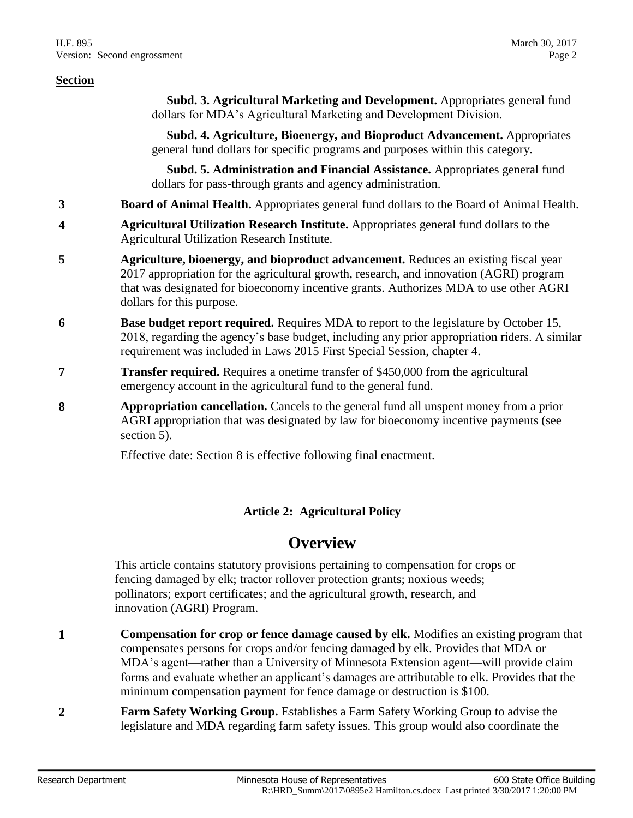#### **Section**

|                  | Subd. 3. Agricultural Marketing and Development. Appropriates general fund<br>dollars for MDA's Agricultural Marketing and Development Division.                                                                                                                                                     |
|------------------|------------------------------------------------------------------------------------------------------------------------------------------------------------------------------------------------------------------------------------------------------------------------------------------------------|
|                  | Subd. 4. Agriculture, Bioenergy, and Bioproduct Advancement. Appropriates<br>general fund dollars for specific programs and purposes within this category.                                                                                                                                           |
|                  | Subd. 5. Administration and Financial Assistance. Appropriates general fund<br>dollars for pass-through grants and agency administration.                                                                                                                                                            |
| 3                | Board of Animal Health. Appropriates general fund dollars to the Board of Animal Health.                                                                                                                                                                                                             |
| $\boldsymbol{4}$ | Agricultural Utilization Research Institute. Appropriates general fund dollars to the<br>Agricultural Utilization Research Institute.                                                                                                                                                                |
| 5                | Agriculture, bioenergy, and bioproduct advancement. Reduces an existing fiscal year<br>2017 appropriation for the agricultural growth, research, and innovation (AGRI) program<br>that was designated for bioeconomy incentive grants. Authorizes MDA to use other AGRI<br>dollars for this purpose. |
| 6                | <b>Base budget report required.</b> Requires MDA to report to the legislature by October 15,<br>2018, regarding the agency's base budget, including any prior appropriation riders. A similar<br>requirement was included in Laws 2015 First Special Session, chapter 4.                             |
| 7                | <b>Transfer required.</b> Requires a onetime transfer of \$450,000 from the agricultural<br>emergency account in the agricultural fund to the general fund.                                                                                                                                          |
| 8                | Appropriation cancellation. Cancels to the general fund all unspent money from a prior<br>AGRI appropriation that was designated by law for bioeconomy incentive payments (see<br>section 5).                                                                                                        |
|                  | Effective date: Section 8 is effective following final enactment.                                                                                                                                                                                                                                    |

### **Article 2: Agricultural Policy**

## **Overview**

This article contains statutory provisions pertaining to compensation for crops or fencing damaged by elk; tractor rollover protection grants; noxious weeds; pollinators; export certificates; and the agricultural growth, research, and innovation (AGRI) Program.

- **1 Compensation for crop or fence damage caused by elk.** Modifies an existing program that compensates persons for crops and/or fencing damaged by elk. Provides that MDA or MDA's agent—rather than a University of Minnesota Extension agent—will provide claim forms and evaluate whether an applicant's damages are attributable to elk. Provides that the minimum compensation payment for fence damage or destruction is \$100.
- **2 Farm Safety Working Group.** Establishes a Farm Safety Working Group to advise the legislature and MDA regarding farm safety issues. This group would also coordinate the